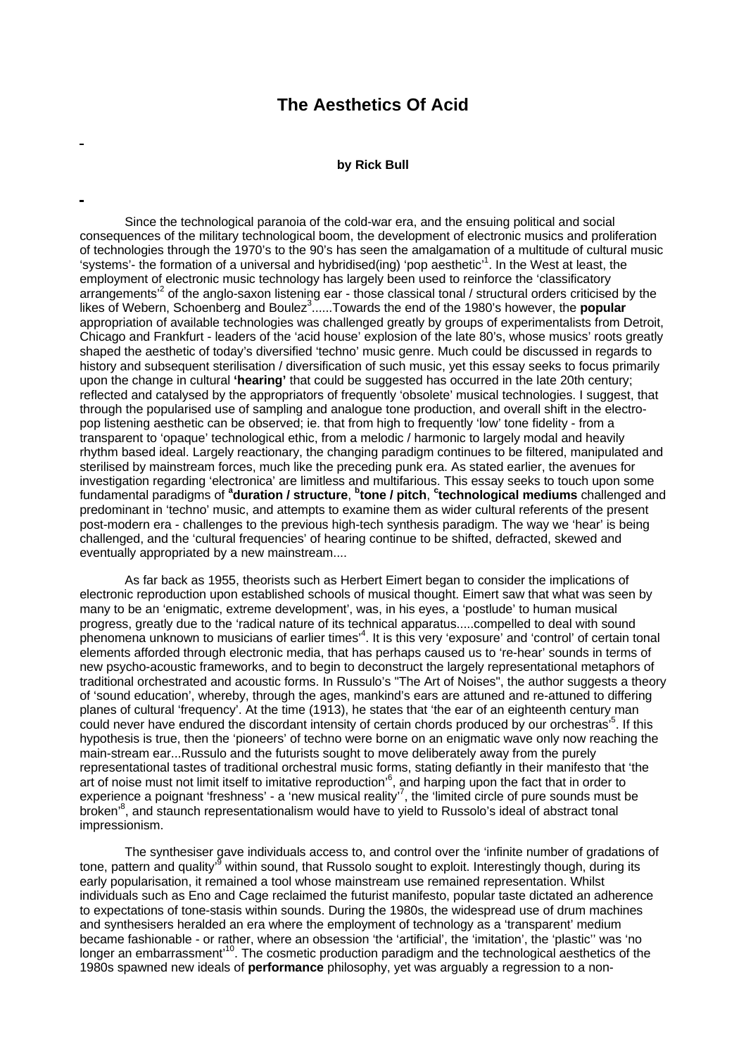## **The Aesthetics Of Acid**

## **by Rick Bull**

Since the technological paranoia of the cold-war era, and the ensuing political and social consequences of the military technological boom, the development of electronic musics and proliferation of technologies through the 1970's to the 90's has seen the amalgamation of a multitude of cultural music 'systems'- the formation of a universal and hybridised(ing) 'pop aesthetic'<sup>1</sup>. In the West at least, the employment of electronic music technology has largely been used to reinforce the 'classificatory arrangements<sup>2</sup> of the anglo-saxon listening ear - those classical tonal / structural orders criticised by the likes of Webern, Schoenberg and Boulez<sup>3</sup>......Towards the end of the 1980's however, the **popular** appropriation of available technologies was challenged greatly by groups of experimentalists from Detroit, Chicago and Frankfurt - leaders of the 'acid house' explosion of the late 80's, whose musics' roots greatly shaped the aesthetic of today's diversified 'techno' music genre. Much could be discussed in regards to history and subsequent sterilisation / diversification of such music, yet this essay seeks to focus primarily upon the change in cultural **'hearing'** that could be suggested has occurred in the late 20th century; reflected and catalysed by the appropriators of frequently 'obsolete' musical technologies. I suggest, that through the popularised use of sampling and analogue tone production, and overall shift in the electropop listening aesthetic can be observed; ie. that from high to frequently 'low' tone fidelity - from a transparent to 'opaque' technological ethic, from a melodic / harmonic to largely modal and heavily rhythm based ideal. Largely reactionary, the changing paradigm continues to be filtered, manipulated and sterilised by mainstream forces, much like the preceding punk era. As stated earlier, the avenues for investigation regarding 'electronica' are limitless and multifarious. This essay seeks to touch upon some fundamental paradigms of **<sup>a</sup> duration / structure**, **<sup>b</sup> tone / pitch**, **<sup>c</sup> technological mediums** challenged and predominant in 'techno' music, and attempts to examine them as wider cultural referents of the present post-modern era - challenges to the previous high-tech synthesis paradigm. The way we 'hear' is being challenged, and the 'cultural frequencies' of hearing continue to be shifted, defracted, skewed and eventually appropriated by a new mainstream....

As far back as 1955, theorists such as Herbert Eimert began to consider the implications of electronic reproduction upon established schools of musical thought. Eimert saw that what was seen by many to be an 'enigmatic, extreme development', was, in his eyes, a 'postlude' to human musical progress, greatly due to the 'radical nature of its technical apparatus.....compelled to deal with sound phenomena unknown to musicians of earlier times'<sup>4</sup>. It is this very 'exposure' and 'control' of certain tonal elements afforded through electronic media, that has perhaps caused us to 're-hear' sounds in terms of new psycho-acoustic frameworks, and to begin to deconstruct the largely representational metaphors of traditional orchestrated and acoustic forms. In Russulo's "The Art of Noises", the author suggests a theory of 'sound education', whereby, through the ages, mankind's ears are attuned and re-attuned to differing planes of cultural 'frequency'. At the time (1913), he states that 'the ear of an eighteenth century man could never have endured the discordant intensity of certain chords produced by our orchestras'<sup>5</sup>. If this hypothesis is true, then the 'pioneers' of techno were borne on an enigmatic wave only now reaching the main-stream ear...Russulo and the futurists sought to move deliberately away from the purely representational tastes of traditional orchestral music forms, stating defiantly in their manifesto that 'the art of noise must not limit itself to imitative reproduction'<sup>6</sup>, and harping upon the fact that in order to experience a poignant 'freshness' - a 'new musical reality'<sup>7</sup>, the 'limited circle of pure sounds must be broken'<sup>8</sup>, and staunch representationalism would have to yield to Russolo's ideal of abstract tonal impressionism.

The synthesiser gave individuals access to, and control over the 'infinite number of gradations of tone, pattern and quality'<sup>9</sup> within sound, that Russolo sought to exploit. Interestingly though, during its early popularisation, it remained a tool whose mainstream use remained representation. Whilst individuals such as Eno and Cage reclaimed the futurist manifesto, popular taste dictated an adherence to expectations of tone-stasis within sounds. During the 1980s, the widespread use of drum machines and synthesisers heralded an era where the employment of technology as a 'transparent' medium became fashionable - or rather, where an obsession 'the 'artificial', the 'imitation', the 'plastic'' was 'no longer an embarrassment<sup>10</sup>. The cosmetic production paradigm and the technological aesthetics of the 1980s spawned new ideals of **performance** philosophy, yet was arguably a regression to a non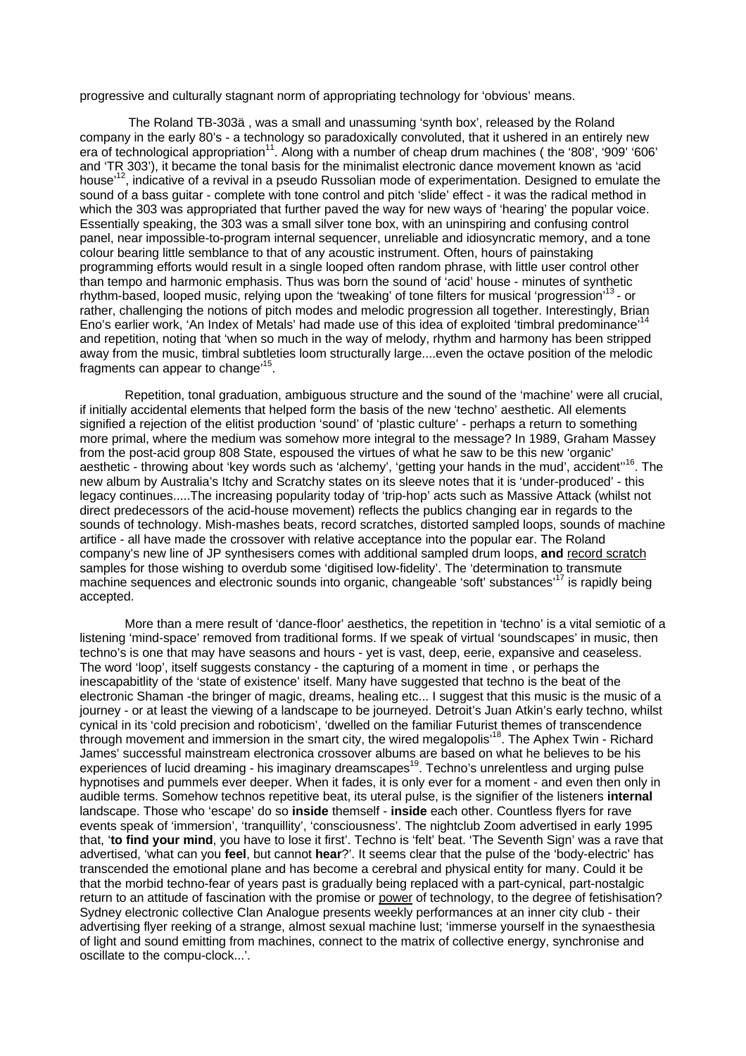progressive and culturally stagnant norm of appropriating technology for 'obvious' means.

 The Roland TB-303ä , was a small and unassuming 'synth box', released by the Roland company in the early 80's - a technology so paradoxically convoluted, that it ushered in an entirely new era of technological appropriation<sup>11</sup>. Along with a number of cheap drum machines (the '808', '909' '606' and 'TR 303'), it became the tonal basis for the minimalist electronic dance movement known as 'acid house<sup>'12</sup>, indicative of a revival in a pseudo Russolian mode of experimentation. Designed to emulate the sound of a bass guitar - complete with tone control and pitch 'slide' effect - it was the radical method in which the 303 was appropriated that further paved the way for new ways of 'hearing' the popular voice. Essentially speaking, the 303 was a small silver tone box, with an uninspiring and confusing control panel, near impossible-to-program internal sequencer, unreliable and idiosyncratic memory, and a tone colour bearing little semblance to that of any acoustic instrument. Often, hours of painstaking programming efforts would result in a single looped often random phrase, with little user control other than tempo and harmonic emphasis. Thus was born the sound of 'acid' house - minutes of synthetic rhythm-based, looped music, relying upon the 'tweaking' of tone filters for musical 'progression'<sup>13</sup>- or rather, challenging the notions of pitch modes and melodic progression all together. Interestingly, Brian Eno's earlier work, 'An Index of Metals' had made use of this idea of exploited 'timbral predominance' and repetition, noting that 'when so much in the way of melody, rhythm and harmony has been stripped away from the music, timbral subtleties loom structurally large....even the octave position of the melodic fragments can appear to change<sup>,15</sup>.

Repetition, tonal graduation, ambiguous structure and the sound of the 'machine' were all crucial, if initially accidental elements that helped form the basis of the new 'techno' aesthetic. All elements signified a rejection of the elitist production 'sound' of 'plastic culture' - perhaps a return to something more primal, where the medium was somehow more integral to the message? In 1989, Graham Massey from the post-acid group 808 State, espoused the virtues of what he saw to be this new 'organic' aesthetic - throwing about 'key words such as 'alchemy', 'getting your hands in the mud', accident"<sup>16</sup>. The new album by Australia's Itchy and Scratchy states on its sleeve notes that it is 'under-produced' - this legacy continues.....The increasing popularity today of 'trip-hop' acts such as Massive Attack (whilst not direct predecessors of the acid-house movement) reflects the publics changing ear in regards to the sounds of technology. Mish-mashes beats, record scratches, distorted sampled loops, sounds of machine artifice - all have made the crossover with relative acceptance into the popular ear. The Roland company's new line of JP synthesisers comes with additional sampled drum loops, **and** record scratch samples for those wishing to overdub some 'digitised low-fidelity'. The 'determination to transmute machine sequences and electronic sounds into organic, changeable 'soft' substances'<sup>17</sup> is rapidly being accepted.

More than a mere result of 'dance-floor' aesthetics, the repetition in 'techno' is a vital semiotic of a listening 'mind-space' removed from traditional forms. If we speak of virtual 'soundscapes' in music, then techno's is one that may have seasons and hours - yet is vast, deep, eerie, expansive and ceaseless. The word 'loop', itself suggests constancy - the capturing of a moment in time , or perhaps the inescapabitlity of the 'state of existence' itself. Many have suggested that techno is the beat of the electronic Shaman -the bringer of magic, dreams, healing etc... I suggest that this music is the music of a journey - or at least the viewing of a landscape to be journeyed. Detroit's Juan Atkin's early techno, whilst cynical in its 'cold precision and roboticism', 'dwelled on the familiar Futurist themes of transcendence through movement and immersion in the smart city, the wired megalopolis'<sup>18</sup>. The Aphex Twin - Richard James' successful mainstream electronica crossover albums are based on what he believes to be his experiences of lucid dreaming - his imaginary dreamscapes<sup>19</sup>. Techno's unrelentless and urging pulse hypnotises and pummels ever deeper. When it fades, it is only ever for a moment - and even then only in audible terms. Somehow technos repetitive beat, its uteral pulse, is the signifier of the listeners **internal** landscape. Those who 'escape' do so **inside** themself - **inside** each other. Countless flyers for rave events speak of 'immersion', 'tranquillity', 'consciousness'. The nightclub Zoom advertised in early 1995 that, '**to find your mind**, you have to lose it first'. Techno is 'felt' beat. 'The Seventh Sign' was a rave that advertised, 'what can you **feel**, but cannot **hear**?'. It seems clear that the pulse of the 'body-electric' has transcended the emotional plane and has become a cerebral and physical entity for many. Could it be that the morbid techno-fear of years past is gradually being replaced with a part-cynical, part-nostalgic return to an attitude of fascination with the promise or power of technology, to the degree of fetishisation? Sydney electronic collective Clan Analogue presents weekly performances at an inner city club - their advertising flyer reeking of a strange, almost sexual machine lust; 'immerse yourself in the synaesthesia of light and sound emitting from machines, connect to the matrix of collective energy, synchronise and oscillate to the compu-clock...'.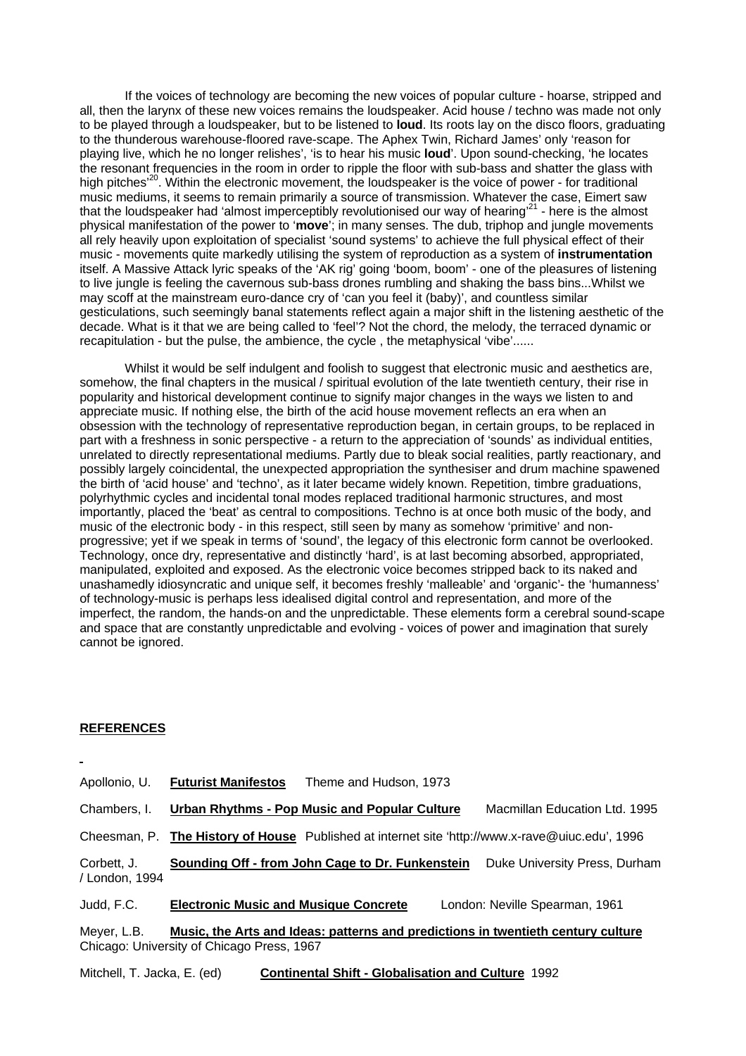If the voices of technology are becoming the new voices of popular culture - hoarse, stripped and all, then the larynx of these new voices remains the loudspeaker. Acid house / techno was made not only to be played through a loudspeaker, but to be listened to **loud**. Its roots lay on the disco floors, graduating to the thunderous warehouse-floored rave-scape. The Aphex Twin, Richard James' only 'reason for playing live, which he no longer relishes', 'is to hear his music **loud**'. Upon sound-checking, 'he locates the resonant frequencies in the room in order to ripple the floor with sub-bass and shatter the glass with high pitches<sup>'20</sup>. Within the electronic movement, the loudspeaker is the voice of power - for traditional music mediums, it seems to remain primarily a source of transmission. Whatever the case, Eimert saw that the loudspeaker had 'almost imperceptibly revolutionised our way of hearing'<sup>21</sup> - here is the almost physical manifestation of the power to '**move**'; in many senses. The dub, triphop and jungle movements all rely heavily upon exploitation of specialist 'sound systems' to achieve the full physical effect of their music - movements quite markedly utilising the system of reproduction as a system of **instrumentation** itself. A Massive Attack lyric speaks of the 'AK rig' going 'boom, boom' - one of the pleasures of listening to live jungle is feeling the cavernous sub-bass drones rumbling and shaking the bass bins...Whilst we may scoff at the mainstream euro-dance cry of 'can you feel it (baby)', and countless similar gesticulations, such seemingly banal statements reflect again a major shift in the listening aesthetic of the decade. What is it that we are being called to 'feel'? Not the chord, the melody, the terraced dynamic or recapitulation - but the pulse, the ambience, the cycle , the metaphysical 'vibe'......

Whilst it would be self indulgent and foolish to suggest that electronic music and aesthetics are, somehow, the final chapters in the musical / spiritual evolution of the late twentieth century, their rise in popularity and historical development continue to signify major changes in the ways we listen to and appreciate music. If nothing else, the birth of the acid house movement reflects an era when an obsession with the technology of representative reproduction began, in certain groups, to be replaced in part with a freshness in sonic perspective - a return to the appreciation of 'sounds' as individual entities, unrelated to directly representational mediums. Partly due to bleak social realities, partly reactionary, and possibly largely coincidental, the unexpected appropriation the synthesiser and drum machine spawened the birth of 'acid house' and 'techno', as it later became widely known. Repetition, timbre graduations, polyrhythmic cycles and incidental tonal modes replaced traditional harmonic structures, and most importantly, placed the 'beat' as central to compositions. Techno is at once both music of the body, and music of the electronic body - in this respect, still seen by many as somehow 'primitive' and nonprogressive; yet if we speak in terms of 'sound', the legacy of this electronic form cannot be overlooked. Technology, once dry, representative and distinctly 'hard', is at last becoming absorbed, appropriated, manipulated, exploited and exposed. As the electronic voice becomes stripped back to its naked and unashamedly idiosyncratic and unique self, it becomes freshly 'malleable' and 'organic'- the 'humanness' of technology-music is perhaps less idealised digital control and representation, and more of the imperfect, the random, the hands-on and the unpredictable. These elements form a cerebral sound-scape and space that are constantly unpredictable and evolving - voices of power and imagination that surely cannot be ignored.

## **REFERENCES**

Apollonio, U. **Futurist Manifestos** Theme and Hudson, 1973

Chambers, I. **Urban Rhythms - Pop Music and Popular Culture** Macmillan Education Ltd. 1995

Cheesman, P. **The History of House** Published at internet site 'http://www.x-rave@uiuc.edu', 1996

Corbett, J. **Sounding Off - from John Cage to Dr. Funkenstein** Duke University Press, Durham / London, 1994

Judd, F.C. **Electronic Music and Musique Concrete** London: Neville Spearman, 1961

Meyer, L.B. **Music, the Arts and Ideas: patterns and predictions in twentieth century culture** Chicago: University of Chicago Press, 1967

Mitchell, T. Jacka, E. (ed) **Continental Shift - Globalisation and Culture** 1992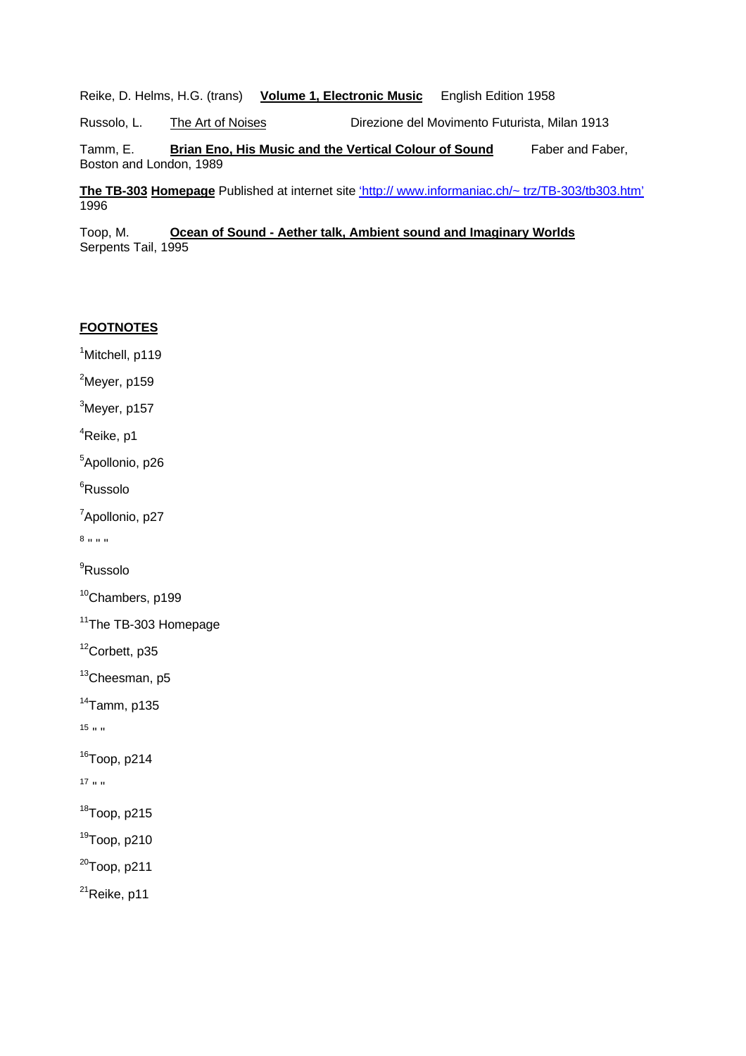Reike, D. Helms, H.G. (trans) **Volume 1, Electronic Music** English Edition 1958

Russolo, L. The Art of Noises Direzione del Movimento Futurista, Milan 1913

Tamm, E. **Brian Eno, His Music and the Vertical Colour of Sound** Faber and Faber, Boston and London, 1989

**The TB-303 Homepage** Published at internet site 'http:// www.informaniac.ch/~ trz/TB-303/tb303.htm' 1996

Toop, M. **Ocean of Sound - Aether talk, Ambient sound and Imaginary Worlds** Serpents Tail, 1995

## **FOOTNOTES**

<sup>1</sup>Mitchell, p119

 $2$ Meyer, p159

 $3$ Meyer, p157

<sup>4</sup>Reike, p1

<sup>5</sup>Apollonio, p26

<sup>6</sup>Russolo

<sup>7</sup>Apollonio, p27

8 " " "

<sup>9</sup>Russolo

<sup>10</sup>Chambers, p199

<sup>11</sup>The TB-303 Homepage

<sup>12</sup>Corbett, p35

13Cheesman, p5

 $14$ Tamm, p135

 $15$   $\mu$   $\mu$ 

 $16$ Toop, p214

 $17<sub>11</sub>$  w

<sup>18</sup>Toop, p215

 $19$ Toop, p210

 $20$ Toop, p211

<sup>21</sup>Reike, p11